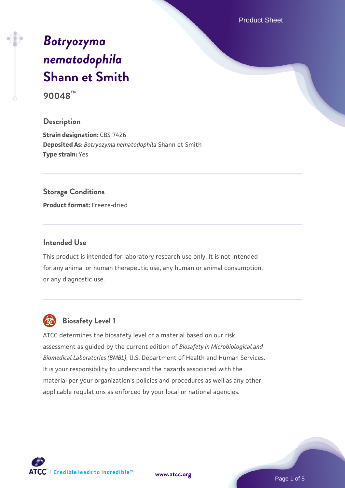Product Sheet

# *[Botryozyma](https://www.atcc.org/products/90048) [nematodophila](https://www.atcc.org/products/90048)* **[Shann et Smith](https://www.atcc.org/products/90048)**

**90048™**

### **Description**

**Strain designation: CBS 7426 Deposited As:** *Botryozyma nematodophila* Shann et Smith **Type strain:** Yes

### **Storage Conditions**

**Product format:** Freeze-dried

### **Intended Use**

This product is intended for laboratory research use only. It is not intended for any animal or human therapeutic use, any human or animal consumption, or any diagnostic use.



# **Biosafety Level 1**

ATCC determines the biosafety level of a material based on our risk assessment as guided by the current edition of *Biosafety in Microbiological and Biomedical Laboratories (BMBL)*, U.S. Department of Health and Human Services. It is your responsibility to understand the hazards associated with the material per your organization's policies and procedures as well as any other applicable regulations as enforced by your local or national agencies.

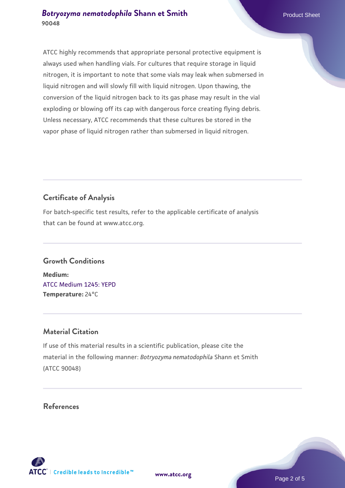ATCC highly recommends that appropriate personal protective equipment is always used when handling vials. For cultures that require storage in liquid nitrogen, it is important to note that some vials may leak when submersed in liquid nitrogen and will slowly fill with liquid nitrogen. Upon thawing, the conversion of the liquid nitrogen back to its gas phase may result in the vial exploding or blowing off its cap with dangerous force creating flying debris. Unless necessary, ATCC recommends that these cultures be stored in the vapor phase of liquid nitrogen rather than submersed in liquid nitrogen.

# **Certificate of Analysis**

For batch-specific test results, refer to the applicable certificate of analysis that can be found at www.atcc.org.

### **Growth Conditions**

**Medium:**  [ATCC Medium 1245: YEPD](https://www.atcc.org/-/media/product-assets/documents/microbial-media-formulations/1/2/4/5/atcc-medium-1245.pdf?rev=705ca55d1b6f490a808a965d5c072196) **Temperature:** 24°C

### **Material Citation**

If use of this material results in a scientific publication, please cite the material in the following manner: *Botryozyma nematodophila* Shann et Smith (ATCC 90048)

### **References**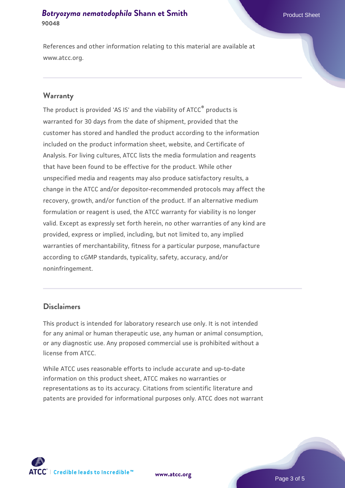References and other information relating to this material are available at www.atcc.org.

### **Warranty**

The product is provided 'AS IS' and the viability of ATCC® products is warranted for 30 days from the date of shipment, provided that the customer has stored and handled the product according to the information included on the product information sheet, website, and Certificate of Analysis. For living cultures, ATCC lists the media formulation and reagents that have been found to be effective for the product. While other unspecified media and reagents may also produce satisfactory results, a change in the ATCC and/or depositor-recommended protocols may affect the recovery, growth, and/or function of the product. If an alternative medium formulation or reagent is used, the ATCC warranty for viability is no longer valid. Except as expressly set forth herein, no other warranties of any kind are provided, express or implied, including, but not limited to, any implied warranties of merchantability, fitness for a particular purpose, manufacture according to cGMP standards, typicality, safety, accuracy, and/or noninfringement.

### **Disclaimers**

This product is intended for laboratory research use only. It is not intended for any animal or human therapeutic use, any human or animal consumption, or any diagnostic use. Any proposed commercial use is prohibited without a license from ATCC.

While ATCC uses reasonable efforts to include accurate and up-to-date information on this product sheet, ATCC makes no warranties or representations as to its accuracy. Citations from scientific literature and patents are provided for informational purposes only. ATCC does not warrant



**[www.atcc.org](http://www.atcc.org)**

Page 3 of 5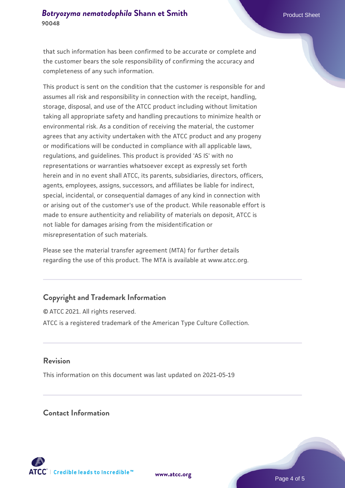that such information has been confirmed to be accurate or complete and the customer bears the sole responsibility of confirming the accuracy and completeness of any such information.

This product is sent on the condition that the customer is responsible for and assumes all risk and responsibility in connection with the receipt, handling, storage, disposal, and use of the ATCC product including without limitation taking all appropriate safety and handling precautions to minimize health or environmental risk. As a condition of receiving the material, the customer agrees that any activity undertaken with the ATCC product and any progeny or modifications will be conducted in compliance with all applicable laws, regulations, and guidelines. This product is provided 'AS IS' with no representations or warranties whatsoever except as expressly set forth herein and in no event shall ATCC, its parents, subsidiaries, directors, officers, agents, employees, assigns, successors, and affiliates be liable for indirect, special, incidental, or consequential damages of any kind in connection with or arising out of the customer's use of the product. While reasonable effort is made to ensure authenticity and reliability of materials on deposit, ATCC is not liable for damages arising from the misidentification or misrepresentation of such materials.

Please see the material transfer agreement (MTA) for further details regarding the use of this product. The MTA is available at www.atcc.org.

### **Copyright and Trademark Information**

© ATCC 2021. All rights reserved. ATCC is a registered trademark of the American Type Culture Collection.

### **Revision**

This information on this document was last updated on 2021-05-19

### **Contact Information**



**[www.atcc.org](http://www.atcc.org)**